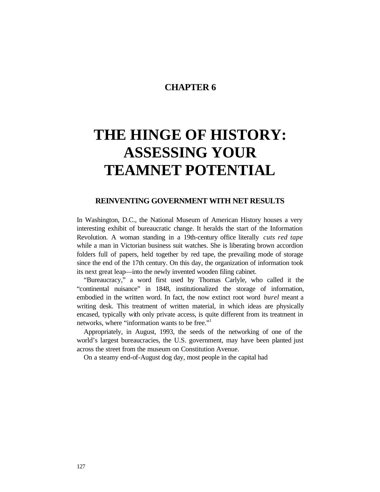## **CHAPTER 6**

# **THE HINGE OF HISTORY: ASSESSING YOUR TEAMNET POTENTIAL**

#### **REINVENTING GOVERNMENT WITH NET RESULTS**

In Washington, D.C., the National Museum of American History houses a very interesting exhibit of bureaucratic change. It heralds the start of the Information Revolution. A woman standing in a 19th-century office literally *cuts red tape*  while a man in Victorian business suit watches. She is liberating brown accordion folders full of papers, held together by red tape, the prevailing mode of storage since the end of the 17th century. On this day, the organization of information took its next great leap—into the newly invented wooden filing cabinet.

"Bureaucracy," a word first used by Thomas Carlyle, who called it the "continental nuisance" in 1848, institutionalized the storage of information, embodied in the written word. In fact, the now extinct root word *burel* meant a writing desk. This treatment of written material, in which ideas are physically encased, typically with only private access, is quite different from its treatment in networks, where "information wants to be free."<sup>1</sup>

Appropriately, in August, 1993, the seeds of the networking of one of the world's largest bureaucracies, the U.S. government, may have been planted just across the street from the museum on Constitution Avenue.

On a steamy end-of-August dog day, most people in the capital had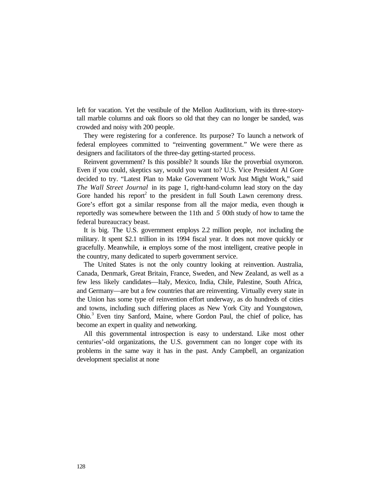left for vacation. Yet the vestibule of the Mellon Auditorium, with its three-storytall marble columns and oak floors so old that they can no longer be sanded, was crowded and noisy with 200 people.

They were registering for a conference. Its purpose? To launch a network of federal employees committed to "reinventing government." We were there as designers and facilitators of the three-day getting-started process.

Reinvent government? Is this possible? It sounds like the proverbial oxymoron. Even if you could, skeptics say, would you want to? U.S. Vice President Al Gore decided to try. "Latest Plan to Make Government Work Just Might Work," said *The Wall Street Journal* in its page 1, right-hand-column lead story on the day Gore handed his report<sup>2</sup> to the president in full South Lawn ceremony dress. Gore's effort got a similar response from all the major media, even though **it**  reportedly was somewhere between the 11th and *5* 00th study of how to tame the federal bureaucracy beast.

It is big. The U.S. government employs 2.2 million people, *not* including the military. It spent \$2.1 trillion in its 1994 fiscal year. It does not move quickly or gracefully. Meanwhile, **it** employs some of the most intelligent, creative people in the country, many dedicated to superb government service.

The United States is not the only country looking at reinvention. Australia, Canada, Denmark, Great Britain, France, Sweden, and New Zealand, as well as a few less likely candidates—Italy, Mexico, India, Chile, Palestine, South Africa, and Germany—are but a few countries that are reinventing. Virtually every state in the Union has some type of reinvention effort underway, as do hundreds of cities and towns, including such differing places as New York City and Youngstown, Ohio.<sup>3</sup> Even tiny Sanford, Maine, where Gordon Paul, the chief of police, has become an expert in quality and networking.

All this governmental introspection is easy to understand. Like most other centuries'-old organizations, the U.S. government can no longer cope with its problems in the same way it has in the past. Andy Campbell, an organization development specialist at none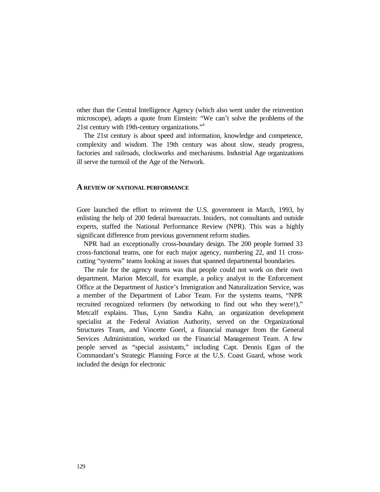other than the Central Intelligence Agency (which also went under the reinvention microscope), adapts a quote from Einstein: "We can't solve the problems of the 21st century with 19th-century organizations."<sup>4</sup>

The 21st century is about speed and information, knowledge and competence, complexity and wisdom. The 19th century was about slow, steady progress, factories and railroads, clockworks and mechanisms. Industrial Age organizations ill serve the turmoil of the Age of the Network.

#### **A REVIEW OF NATIONAL PERFORMANCE**

Gore launched the effort to reinvent the U.S. government in March, 1993, by enlisting the help of 200 federal bureaucrats. Insiders, not consultants and outside experts, staffed the National Performance Review (NPR). This was a highly significant difference from previous government reform studies.

NPR had an exceptionally cross-boundary design. The 200 people formed 33 cross-functional teams, one for each major agency, numbering 22, and 11 crosscutting "systems" teams looking at issues that spanned departmental boundaries.

The rule for the agency teams was that people could not work on their own department. Marion Metcalf, for example, a policy analyst in the Enforcement Office at the Department of Justice's Immigration and Naturalization Service, was a member of the Department of Labor Team. For the systems teams, "NPR recruited recognized reformers (by networking to find out who they were!)," Metcalf explains. Thus, Lynn Sandra Kahn, an organization development specialist at the Federal Aviation Authority, served on the Organizational Structures Team, and Vincette Goerl, a financial manager from the General Services Administration, worked on the Financial Management Team. A few people served as "special assistants," including Capt. Dennis Egan of the Commandant's Strategic Planning Force at the U.S. Coast Guard, whose work included the design for electronic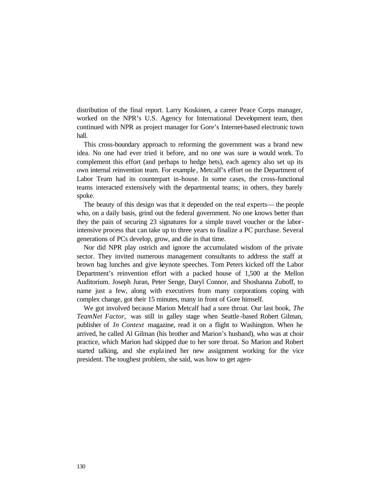distribution of the final report. Larry Koskinen, a career Peace Corps manager, worked on the NPR's U.S. Agency for International Development team, then continued with NPR as project manager for Gore's Internet-based electronic town hall.

This cross-boundary approach to reforming the government was a brand new idea. No one had ever tried it before, and no one was sure **it** would work. To complement this effort (and perhaps to hedge bets), each agency also set up its own internal reinvention team. For example, Metcalf's effort on the Department of Labor Team had its counterpart in-house. In some cases, the cross-functional teams interacted extensively with the departmental teams; in others, they barely spoke.

The beauty of this design was that it depended on the real experts— the people who, on a daily basis, grind out the federal government. No one knows better than they the pain of securing 23 signatures for a simple travel voucher or the laborintensive process that can take up to three years to finalize a PC purchase. Several generations of PCs develop, grow, and die in that time.

Nor did NPR play ostrich and ignore the accumulated wisdom of the private sector. They invited numerous management consultants to address the staff at brown bag lunches and give keynote speeches. Tom Peters kicked off the Labor Department's reinvention effort with a packed house of 1,500 at the Mellon Auditorium. Joseph Juran, Peter Senge, Daryl Connor, and Shoshanna Zuboff, to name just a few, along with executives from many corporations coping with complex change, got their 15 minutes, many in front of Gore himself.

We got involved because Marion Metcalf had a sore throat. Our last book, *The TeamNet Factor,* was still in galley stage when Seattle -based Robert Gilman, publisher of *In Context* magazine, read it on a flight to Washington. When he arrived, he called Al Gilman (his brother and Marion's husband), who was at choir practice, which Marion had skipped due to her sore throat. So Marion and Robert started talking, and she expla ined her new assignment working for the vice president. The toughest problem, she said, was how to get agen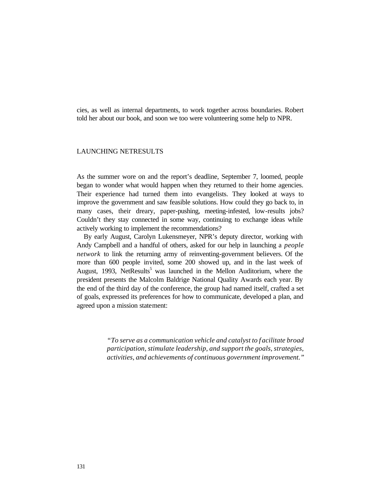cies, as well as internal departments, to work together across boundaries. Robert told her about our book, and soon we too were volunteering some help to NPR.

#### LAUNCHING NETRESULTS

As the summer wore on and the report's deadline, September 7, loomed, people began to wonder what would happen when they returned to their home agencies. Their experience had turned them into evangelists. They looked at ways to improve the government and saw feasible solutions. How could they go back to, in many cases, their dreary, paper-pushing, meeting-infested, low-results jobs? Couldn't they stay connected in some way, continuing to exchange ideas while actively working to implement the recommendations?

By early August, Carolyn Lukensmeyer, NPR's deputy director, working with Andy Campbell and a handful of others, asked for our help in launching a *people network* to link the returning army of reinventing-government believers. Of the more than 600 people invited, some 200 showed up, and in the last week of August, 1993, NetResults<sup>5</sup> was launched in the Mellon Auditorium, where the president presents the Malcolm Baldrige National Quality Awards each year. By the end of the third day of the conference, the group had named itself, crafted a set of goals, expressed its preferences for how to communicate, developed a plan, and agreed upon a mission statement:

> *"To serve as a communication vehicle and catalyst to f acilitate broad participation, stimulate leadership, and support the goals, strategies, activities, and achievements of continuous government improvement."*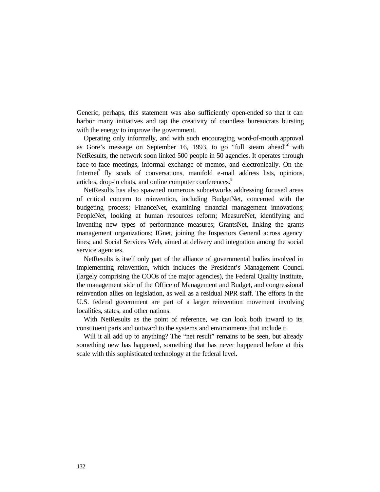Generic, perhaps, this statement was also sufficiently open-ended so that it can harbor many initiatives and tap the creativity of countless bureaucrats bursting with the energy to improve the government.

Operating only informally, and with such encouraging word-of-mouth approval as Gore's message on September 16, 1993, to go "full steam ahead"<sup>6</sup> with NetResults, the network soon linked 500 people in 50 agencies. It operates through face-to-face meetings, informal exchange of memos, and electronically. On the Internet<sup>7</sup> fly scads of conversations, manifold e-mail address lists, opinions, articles, drop-in chats, and online computer conferences.<sup>8</sup>

NetResults has also spawned numerous subnetworks addressing focused areas of critical concern to reinvention, including BudgetNet, concerned with the budgeting process; FinanceNet, examining financial management innovations; PeopleNet, looking at human resources reform; MeasureNet, identifying and inventing new types of performance measures; GrantsNet, linking the grants management organizations; IGnet, joining the Inspectors General across agency lines; and Social Services Web, aimed at delivery and integration among the social service agencies.

NetResults is itself only part of the alliance of governmental bodies involved in implementing reinvention, which includes the President's Management Council (largely comprising the COOs of the major agencies), the Federal Quality Institute, the management side of the Office of Management and Budget, and congressional reinvention allies on legislation, as well as a residual NPR staff. The efforts in the U.S. federal government are part of a larger reinvention movement involving localities, states, and other nations.

With NetResults as the point of reference, we can look both inward to its constituent parts and outward to the systems and environments that include it.

Will it all add up to anything? The "net result" remains to be seen, but already something new has happened, something that has never happened before at this scale with this sophisticated technology at the federal level.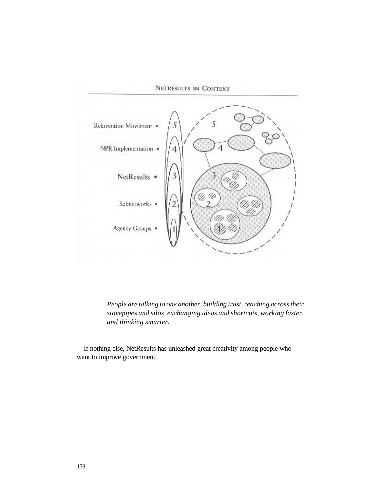

*People are talking to one another, building trust, reaching across their stovepipes and silos, exchanging ideas and shortcuts, working faster, and thinking smarter.*

If nothing else, NetResults has unleashed great creativity among people who want to improve government.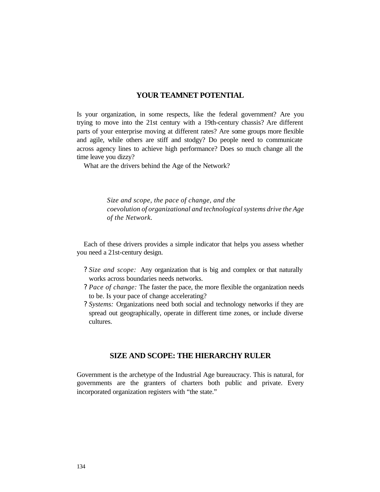### **YOUR TEAMNET POTENTIAL**

Is your organization, in some respects, like the federal government? Are you trying to move into the 21st century with a 19th-century chassis? Are different parts of your enterprise moving at different rates? Are some groups more flexible and agile, while others are stiff and stodgy? Do people need to communicate across agency lines to achieve high performance? Does so much change all the time leave you dizzy?

What are the drivers behind the Age of the Network?

*Size and scope, the pace of change, and the coevolution of organizational and technological systems drive the Age of the Network.*

Each of these drivers provides a simple indicator that helps you assess whether you need a 21st-century design.

- *? Size and scope:* Any organization that is big and complex or that naturally works across boundaries needs networks.
- *? Pace of change:* The faster the pace, the more flexible the organization needs to be. Is your pace of change accelerating?
- *? Systems:* Organizations need both social and technology networks if they are spread out geographically, operate in different time zones, or include diverse cultures.

#### **SIZE AND SCOPE: THE HIERARCHY RULER**

Government is the archetype of the Industrial Age bureaucracy. This is natural, for governments are the granters of charters both public and private. Every incorporated organization registers with "the state."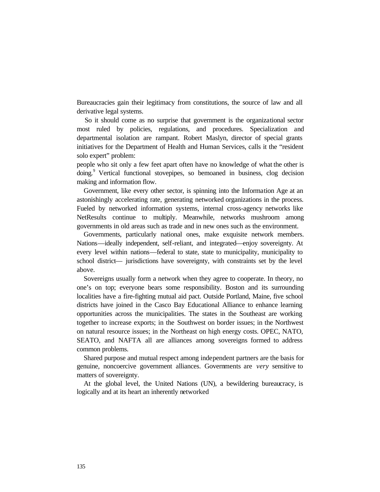Bureaucracies gain their legitimacy from constitutions, the source of law and all derivative legal systems.

So it should come as no surprise that government is the organizational sector most ruled by policies, regulations, and procedures. Specialization and departmental isolation are rampant. Robert Maslyn, director of special grants initiatives for the Department of Health and Human Services, calls it the "resident solo expert" problem:

people who sit only a few feet apart often have no knowledge of what the other is doing.<sup>9</sup> Vertical functional stovepipes, so bemoaned in business, clog decision making and information flow.

Government, like every other sector, is spinning into the Information Age at an astonishingly accelerating rate, generating networked organizations in the process. Fueled by networked information systems, internal cross-agency networks like NetResults continue to multiply. Meanwhile, networks mushroom among governments in old areas such as trade and in new ones such as the environment.

Governments, particularly national ones, make exquisite network members. Nations—ideally independent, self-reliant, and integrated—enjoy sovereignty. At every level within nations—federal to state, state to municipality, municipality to school district— jurisdictions have sovereignty, with constraints set by the level above.

Sovereigns usually form a network when they agree to cooperate. In theory, no one's on top; everyone bears some responsibility. Boston and its surrounding localities have a fire-fighting mutual aid pact. Outside Portland, Maine, five school districts have joined in the Casco Bay Educational Alliance to enhance learning opportunities across the municipalities. The states in the Southeast are working together to increase exports; in the Southwest on border issues; in the Northwest on natural resource issues; in the Northeast on high energy costs. OPEC, NATO, SEATO, and NAFTA all are alliances among sovereigns formed to address common problems.

Shared purpose and mutual respect among independent partners are the basis for genuine, noncoercive government alliances. Governments are *very* sensitive to matters of sovereignty.

At the global level, the United Nations (UN), a bewildering bureaucracy, is logically and at its heart an inherently networked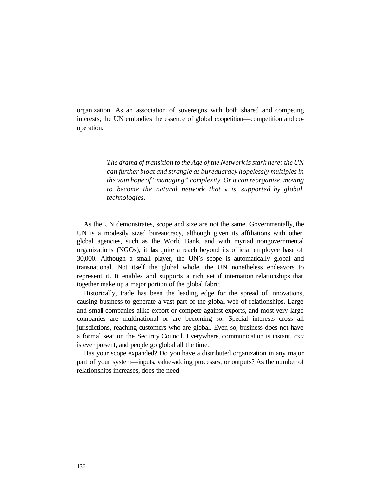organization. As an association of sovereigns with both shared and competing interests, the UN embodies the essence of global coopetition—competition and cooperation.

> *The drama of transition to the Age of the Network is stark here: the UN can further bloat and strangle as bureaucracy hopelessly multiples in the vain hope of "managing" complexity. Or it can reorganize, moving to become the natural network that it is, supported by global technologies.*

As the UN demonstrates, scope and size are not the same. Governmentally, the UN is a modestly sized bureaucracy, although given its affiliations with other global agencies, such as the World Bank, and with myriad nongovernmental organizations (NGOs), it has quite a reach beyond its official employee base of 30,000. Although a small player, the UN's scope is automatically global and transnational. Not itself the global whole, the UN nonetheless endeavors to represent it. It enables and supports a rich set of internation relationships that together make up a major portion of the global fabric.

Historically, trade has been the leading edge for the spread of innovations, causing business to generate a vast part of the global web of relationships. Large and small companies alike export or compete against exports, and most very large companies are multinational or are becoming so. Special interests cross all jurisdictions, reaching customers who are global. Even so, business does not have a formal seat on the Security Council. Everywhere, communication is instant, CNN is ever present, and people go global all the time.

Has your scope expanded? Do you have a distributed organization in any major part of your system—inputs, value-adding processes, or outputs? As the number of relationships increases, does the need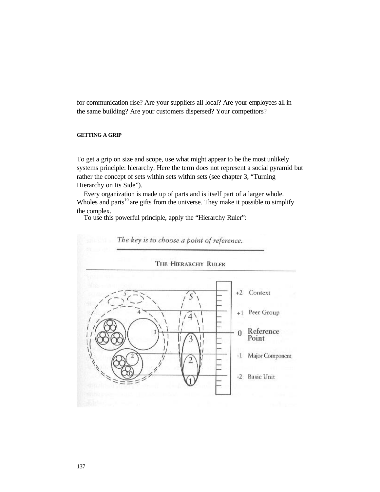for communication rise? Are your suppliers all local? Are your employees all in the same building? Are your customers dispersed? Your competitors?

#### **GETTING A GRIP**

To get a grip on size and scope, use what might appear to be the most unlikely systems principle: hierarchy. Here the term does not represent a social pyramid but rather the concept of sets within sets within sets (see chapter 3, "Turning Hierarchy on Its Side").

Every organization is made up of parts and is itself part of a larger whole. Wholes and parts<sup>10</sup> are gifts from the universe. They make it possible to simplify the complex.

To use this powerful principle, apply the "Hierarchy Ruler":

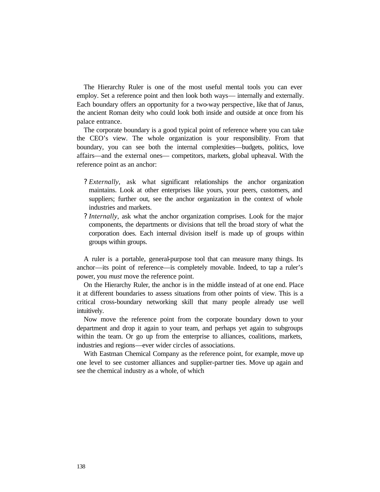The Hierarchy Ruler is one of the most useful mental tools you can ever employ. Set a reference point and then look both ways— internally and externally. Each boundary offers an opportunity for a two-way perspective, like that of Janus, the ancient Roman deity who could look both inside and outside at once from his palace entrance.

The corporate boundary is a good typical point of reference where you can take the CEO's view. The whole organization is your responsibility. From that boundary, you can see both the internal complexities—budgets, politics, love affairs—and the external ones— competitors, markets, global upheaval. With the reference point as an anchor:

- *? Externally,* ask what significant relationships the anchor organization maintains. Look at other enterprises like yours, your peers, customers, and suppliers; further out, see the anchor organization in the context of whole industries and markets.
- *? Internally,* ask what the anchor organization comprises. Look for the major components, the departments or divisions that tell the broad story of what the corporation does. Each internal division itself is made up of groups within groups within groups.

A ruler is a portable, general-purpose tool that can measure many things. Its anchor—its point of reference—is completely movable. Indeed, to tap a ruler's power, you *must* move the reference point.

On the Hierarchy Ruler, the anchor is in the middle instead of at one end. Place it at different boundaries to assess situations from other points of view. This is a critical cross-boundary networking skill that many people already use well intuitively.

Now move the reference point from the corporate boundary down to your department and drop it again to your team, and perhaps yet again to subgroups within the team. Or go up from the enterprise to alliances, coalitions, markets, industries and regions—ever wider circles of associations.

With Eastman Chemical Company as the reference point, for example, move up one level to see customer alliances and supplier-partner ties. Move up again and see the chemical industry as a whole, of which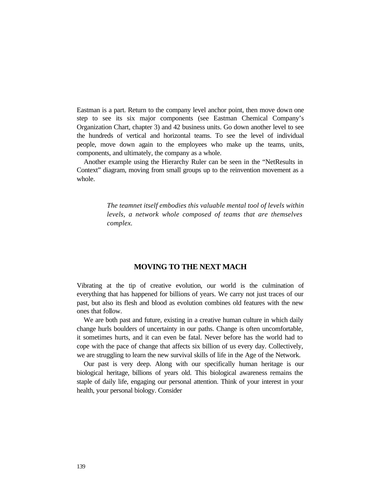Eastman is a part. Return to the company level anchor point, then move down one step to see its six major components (see Eastman Chemical Company's Organization Chart, chapter 3) and 42 business units. Go down another level to see the hundreds of vertical and horizontal teams. To see the level of individual people, move down again to the employees who make up the teams, units, components, and ultimately, the company as a whole.

Another example using the Hierarchy Ruler can be seen in the "NetResults in Context" diagram, moving from small groups up to the reinvention movement as a whole.

> *The teamnet itself embodies this valuable mental tool of levels within levels, a network whole composed of teams that are themselves complex.*

#### **MOVING TO THE NEXT MACH**

Vibrating at the tip of creative evolution, our world is the culmination of everything that has happened for billions of years. We carry not just traces of our past, but also its flesh and blood as evolution combines old features with the new ones that follow.

We are both past and future, existing in a creative human culture in which daily change hurls boulders of uncertainty in our paths. Change is often uncomfortable, it sometimes hurts, and it can even be fatal. Never before has the world had to cope with the pace of change that affects six billion of us every day. Collectively, we are struggling to learn the new survival skills of life in the Age of the Network.

Our past is very deep. Along with our specifically human heritage is our biological heritage, billions of years old. This biological awareness remains the staple of daily life, engaging our personal attention. Think of your interest in your health, your personal biology. Consider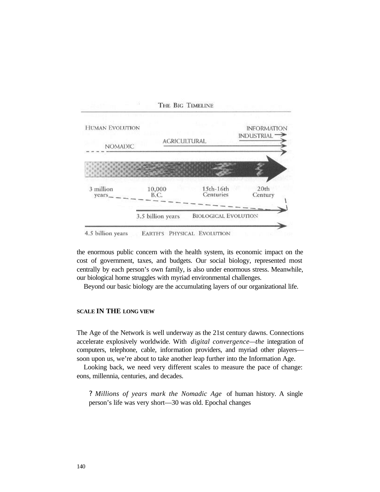

the enormous public concern with the health system, its economic impact on the cost of government, taxes, and budgets. Our social biology, represented most centrally by each person's own family, is also under enormous stress. Meanwhile, our biological home struggles with myriad environmental challenges.

Beyond our basic biology are the accumulating layers of our organizational life.

#### **SCALE IN THE LONG VIEW**

The Age of the Network is well underway as the 21st century dawns. Connections accelerate explosively worldwide. With *digital convergence—the* integration of computers, telephone, cable, information providers, and myriad other players soon upon us, we're about to take another leap further into the Information Age.

Looking back, we need very different scales to measure the pace of change: eons, millennia, centuries, and decades.

*? Millions of years mark the Nomadic Age* of human history. A single person's life was very short—30 was old. Epochal changes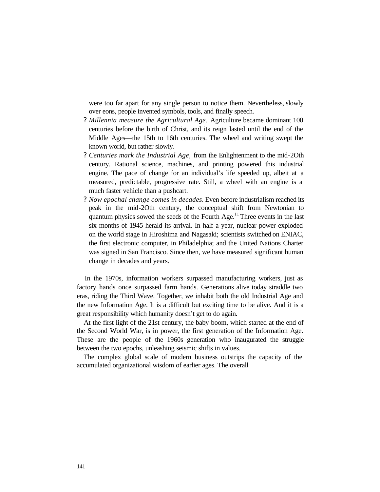were too far apart for any single person to notice them. Nevertheless, slowly over eons, people invented symbols, tools, and finally speech.

- *? Millennia measure the Agricultural Age.* Agriculture became dominant 100 centuries before the birth of Christ, and its reign lasted until the end of the Middle Ages—the 15th to 16th centuries. The wheel and writing swept the known world, but rather slowly.
- *? Centuries mark the Industrial Age,* from the Enlightenment to the mid-2Oth century. Rational science, machines, and printing powered this industrial engine. The pace of change for an individual's life speeded up, albeit at a measured, predictable, progressive rate. Still, a wheel with an engine is a much faster vehicle than a pushcart.
- *? Now epochal change comes in decades.* Even before industrialism reached its peak in the mid-2Oth century, the conceptual shift from Newtonian to quantum physics sowed the seeds of the Fourth Age.<sup>11</sup> Three events in the last six months of 1945 herald its arrival. In half a year, nuclear power exploded on the world stage in Hiroshima and Nagasaki; scientists switched on ENIAC, the first electronic computer, in Philadelphia; and the United Nations Charter was signed in San Francisco. Since then, we have measured significant human change in decades and years.

In the 1970s, information workers surpassed manufacturing workers, just as factory hands once surpassed farm hands. Generations alive today straddle two eras, riding the Third Wave. Together, we inhabit both the old Industrial Age and the new Information Age. It is a difficult but exciting time to be alive. And it is a great responsibility which humanity doesn't get to do again.

At the first light of the 21st century, the baby boom, which started at the end of the Second World War, is in power, the first generation of the Information Age. These are the people of the 1960s generation who inaugurated the struggle between the two epochs, unleashing seismic shifts in values.

The complex global scale of modern business outstrips the capacity of the accumulated organizational wisdom of earlier ages. The overall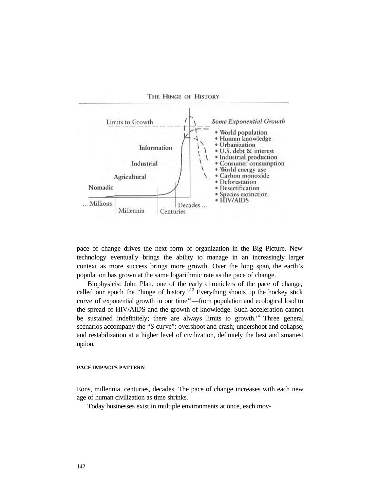

pace of change drives the next form of organization in the Big Picture. New technology eventually brings the ability to manage in an increasingly larger context as more success brings more growth. Over the long span, the earth's population has grown at the same logarithmic rate as the pace of change.

Biophysicist John Platt, one of the early chroniclers of the pace of change, called our epoch the "hinge of history."<sup>12</sup> Everything shoots up the hockey stick curve of exponential growth in our time<sup>3</sup>—from population and ecological load to the spread of HIV/AIDS and the growth of knowledge. Such acceleration cannot be sustained indefinitely; there are always limits to growth.<sup>4</sup> Three general scenarios accompany the "S curve": overshoot and crash; undershoot and collapse; and restabilization at a higher level of civilization, definitely the best and smartest option.

#### **PACE IMPACTS PATTERN**

Eons, millennia, centuries, decades. The pace of change increases with each new age of human civilization as time shrinks.

Today businesses exist in multiple environments at once, each mov-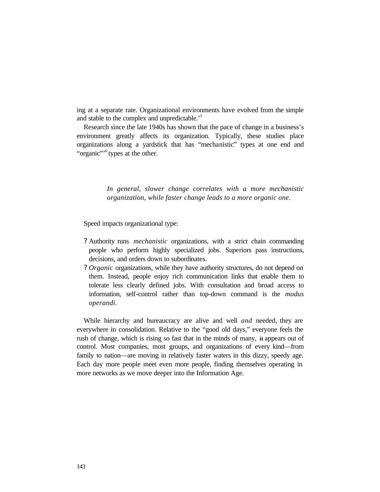ing at a separate rate. Organizational environments have evolved from the simple and stable to the complex and unpredictable.'<sup>5</sup>

Research since the late 1940s has shown that the pace of change in a business's environment greatly affects its organization. Typically, these studies place organizations along a yardstick that has "mechanistic" types at one end and "organic"<sup>6</sup>types at the other.

> *In general, slower change correlates with a more mechanistic organization, while faster change leads to a more organic one.*

Speed impacts organizational type:

- ? Authority runs *mechanistic* organizations, with a strict chain commanding people who perform highly specialized jobs. Superiors pass instructions, decisions, and orders down to subordinates.
- *? Organic* organizations, while they have authority structures, do not depend on them. Instead, people enjoy rich communication links that enable them to tolerate less clearly defined jobs. With consultation and broad access to information, self-control rather than top-down command is the *modus operandi.*

While hierarchy and bureaucracy are alive and well *and* needed, they are everywhere in consolidation. Relative to the "good old days," everyone feels the rush of change, which is rising so fast that in the minds of many, **it** appears out of control. Most companies, most groups, and organizations of every kind—from family to nation—are moving in relatively faster waters in this dizzy, speedy age. Each day more people meet even more people, finding themselves operating in more networks as we move deeper into the Information Age.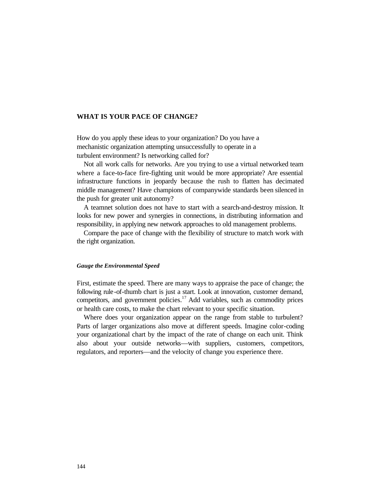#### **WHAT IS YOUR PACE OF CHANGE?**

How do you apply these ideas to your organization? Do you have a mechanistic organization attempting unsuccessfully to operate in a turbulent environment? Is networking called for?

Not all work calls for networks. Are you trying to use a virtual networked team where a face-to-face fire-fighting unit would be more appropriate? Are essential infrastructure functions in jeopardy because the rush to flatten has decimated middle management? Have champions of companywide standards been silenced in the push for greater unit autonomy?

A teamnet solution does not have to start with a search-and-destroy mission. It looks for new power and synergies in connections, in distributing information and responsibility, in applying new network approaches to old management problems.

Compare the pace of change with the flexibility of structure to match work with the right organization.

#### *Gauge the Environmental Speed*

First, estimate the speed. There are many ways to appraise the pace of change; the following rule-of-thumb chart is just a start. Look at innovation, customer demand, competitors, and government policies.<sup>17</sup> Add variables, such as commodity prices or health care costs, to make the chart relevant to your specific situation.

Where does your organization appear on the range from stable to turbulent? Parts of larger organizations also move at different speeds. Imagine color-coding your organizational chart by the impact of the rate of change on each unit. Think also about your outside networks—with suppliers, customers, competitors, regulators, and reporters—and the velocity of change you experience there.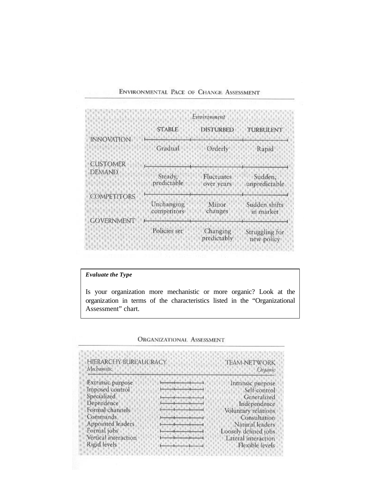#### ENVIRONMENTAL PACE OF CHANGE ASSESSMENT



#### *Evaluate the Type*

Is your organization more mechanistic or more organic? Look at the organization in terms of the characteristics listed in the "Organizational Assessment" chart.

#### **ORGANIZATIONAL ASSESSMENT**

| HIERARCHY BUREAUCRACY                                                                                                                                                               |  | TEAM-NETWORK                                                                                                                                                              |
|-------------------------------------------------------------------------------------------------------------------------------------------------------------------------------------|--|---------------------------------------------------------------------------------------------------------------------------------------------------------------------------|
| Mechanistic                                                                                                                                                                         |  | Organic                                                                                                                                                                   |
| Extrinsic purpose<br>Imposed control<br>Specialized<br><b>Dependence</b><br>Formal channels<br>Commands<br>Appointed leaders<br>Formal jobs<br>Vertical interaction<br>Rigid levels |  | Intrinsic purpose<br>Self-control<br>Generalized<br>Independence<br>Voluntary relations<br>Consultation<br>Natural leaders<br>Loosely defined jobs<br>Lateral interaction |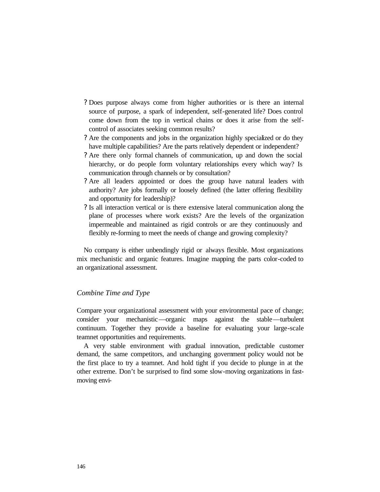- ? Does purpose always come from higher authorities or is there an internal source of purpose, a spark of independent, self-generated life? Does control come down from the top in vertical chains or does it arise from the selfcontrol of associates seeking common results?
- ? Are the components and jobs in the organization highly specialized or do they have multiple capabilities? Are the parts relatively dependent or independent?
- ? Are there only formal channels of communication, up and down the social hierarchy, or do people form voluntary relationships every which way? Is communication through channels or by consultation?
- ? Are all leaders appointed or does the group have natural leaders with authority? Are jobs formally or loosely defined (the latter offering flexibility and opportunity for leadership)?
- ? Is all interaction vertical or is there extensive lateral communication along the plane of processes where work exists? Are the levels of the organization impermeable and maintained as rigid controls or are they continuously and flexibly re-forming to meet the needs of change and growing complexity?

No company is either unbendingly rigid or always flexible. Most organizations mix mechanistic and organic features. Imagine mapping the parts color-coded to an organizational assessment.

#### *Combine Time and Type*

Compare your organizational assessment with your environmental pace of change; consider your mechanistic—organic maps against the stable—turbulent continuum. Together they provide a baseline for evaluating your large-scale teamnet opportunities and requirements.

A very stable environment with gradual innovation, predictable customer demand, the same competitors, and unchanging government policy would not be the first place to try a teamnet. And hold tight if you decide to plunge in at the other extreme. Don't be surprised to find some slow-moving organizations in fastmoving envi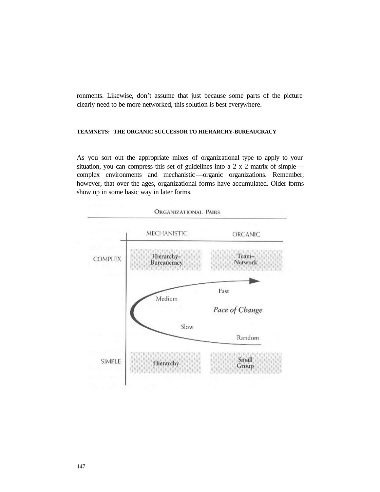ronments. Likewise, don't assume that just because some parts of the picture clearly need to be more networked, this solution is best everywhere.

#### **TEAMNETS: THE ORGANIC SUCCESSOR TO HIERARCHY-BUREAUCRACY**

As you sort out the appropriate mixes of organizational type to apply to your situation, you can compress this set of guidelines into a 2 x 2 matrix of simple complex environments and mechanistic—organic organizations. Remember, however, that over the ages, organizational forms have accumulated. Older forms show up in some basic way in later forms.

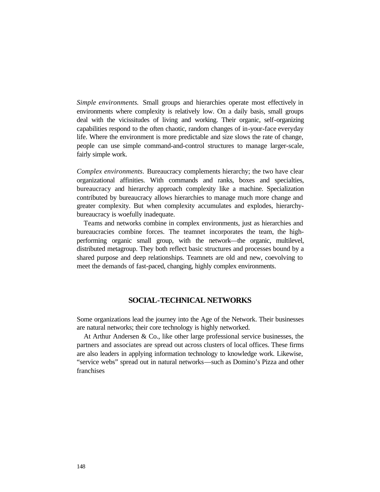*Simple environments.* Small groups and hierarchies operate most effectively in environments where complexity is relatively low. On a daily basis, small groups deal with the vicissitudes of living and working. Their organic, self-organizing capabilities respond to the often chaotic, random changes of in-your-face everyday life. Where the environment is more predictable and size slows the rate of change, people can use simple command-and-control structures to manage larger-scale, fairly simple work.

*Complex environments.* Bureaucracy complements hierarchy; the two have clear organizational affinities. With commands and ranks, boxes and specialties, bureaucracy and hierarchy approach complexity like a machine. Specialization contributed by bureaucracy allows hierarchies to manage much more change and greater complexity. But when complexity accumulates and explodes, hierarchybureaucracy is woefully inadequate.

Teams and networks combine in complex environments, just as hierarchies and bureaucracies combine forces. The teamnet incorporates the team, the highperforming organic small group, with the network—the organic, multilevel, distributed metagroup. They both reflect basic structures and processes bound by a shared purpose and deep relationships. Teamnets are old and new, coevolving to meet the demands of fast-paced, changing, highly complex environments.

#### **SOCIAL-TECHNICAL NETWORKS**

Some organizations lead the journey into the Age of the Network. Their businesses are natural networks; their core technology is highly networked.

At Arthur Andersen & Co., like other large professional service businesses, the partners and associates are spread out across clusters of local offices. These firms are also leaders in applying information technology to knowledge work. Likewise, "service webs" spread out in natural networks—such as Domino's Pizza and other franchises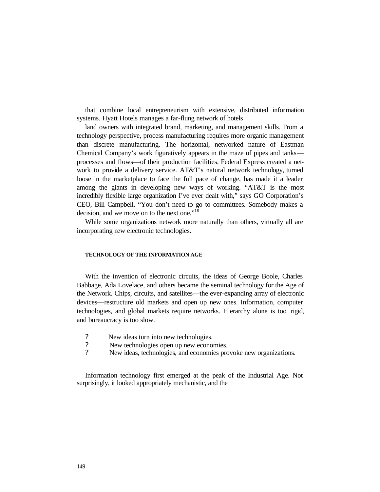that combine local entrepreneurism with extensive, distributed information systems. Hyatt Hotels manages a far-flung network of hotels

land owners with integrated brand, marketing, and management skills. From a technology perspective, process manufacturing requires more organic management than discrete manufacturing. The horizontal, networked nature of Eastman Chemical Company's work figuratively appears in the maze of pipes and tanks processes and flows—of their production facilities. Federal Express created a network to provide a delivery service. AT&T's natural network technology, turned loose in the marketplace to face the full pace of change, has made it a leader among the giants in developing new ways of working. "AT&T is the most incredibly flexible large organization I've ever dealt with," says GO Corporation's CEO, Bill Campbell. "You don't need to go to committees. Somebody makes a decision, and we move on to the next one."<sup>18</sup>

While some organizations network more naturally than others, virtually all are incorporating new electronic technologies.

#### **TECHNOLOGY OF THE INFORMATION AGE**

With the invention of electronic circuits, the ideas of George Boole, Charles Babbage, Ada Lovelace, and others became the seminal technology for the Age of the Network. Chips, circuits, and satellites—the ever-expanding array of electronic devices—restructure old markets and open up new ones. Information, computer technologies, and global markets require networks. Hierarchy alone is too rigid, and bureaucracy is too slow.

- ? New ideas turn into new technologies.
- ? New technologies open up new economies.
- ? New ideas, technologies, and economies provoke new organizations.

Information technology first emerged at the peak of the Industrial Age. Not surprisingly, it looked appropriately mechanistic, and the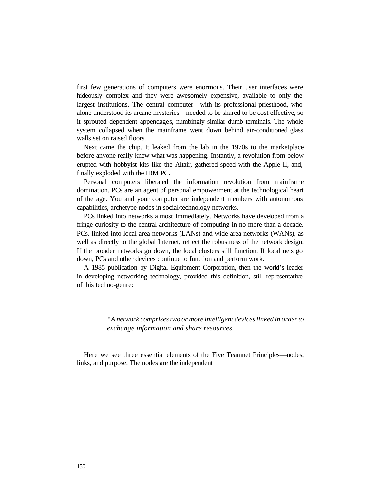first few generations of computers were enormous. Their user interfaces were hideously complex and they were awesomely expensive, available to only the largest institutions. The central computer—with its professional priesthood, who alone understood its arcane mysteries—needed to be shared to be cost effective, so it sprouted dependent appendages, numbingly similar dumb terminals. The whole system collapsed when the mainframe went down behind air-conditioned glass walls set on raised floors.

Next came the chip. It leaked from the lab in the 1970s to the marketplace before anyone really knew what was happening. Instantly, a revolution from below erupted with hobbyist kits like the Altair, gathered speed with the Apple II, and, finally exploded with the IBM PC.

Personal computers liberated the information revolution from mainframe domination. PCs are an agent of personal empowerment at the technological heart of the age. You and your computer are independent members with autonomous capabilities, archetype nodes in social/technology networks.

PCs linked into networks almost immediately. Networks have developed from a fringe curiosity to the central architecture of computing in no more than a decade. PCs, linked into local area networks (LANs) and wide area networks (WANs), as well as directly to the global Internet, reflect the robustness of the network design. If the broader networks go down, the local clusters still function. If local nets go down, PCs and other devices continue to function and perform work.

A 1985 publication by Digital Equipment Corporation, then the world's leader in developing networking technology, provided this definition, still representative of this techno-genre:

> *"A network comprises two or more intelligent devices linked in order to exchange information and share resources.*

Here we see three essential elements of the Five Teamnet Principles—nodes, links, and purpose. The nodes are the independent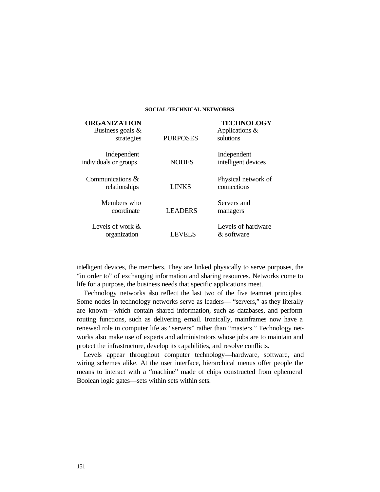#### **SOCIAL-TECHNICAL NETWORKS**

| <b>ORGANIZATION</b><br>Business goals &<br>strategies | <b>PURPOSES</b> | <b>TECHNOLOGY</b><br>Applications &<br>solutions |
|-------------------------------------------------------|-----------------|--------------------------------------------------|
| Independent<br>individuals or groups                  | <b>NODES</b>    | Independent<br>intelligent devices               |
| Communications $\&$<br>relationships                  | <b>LINKS</b>    | Physical network of<br>connections               |
| Members who<br>coordinate                             | <b>LEADERS</b>  | Servers and<br>managers                          |
| Levels of work $&$<br>organization                    | <b>LEVELS</b>   | Levels of hardware<br>& software                 |

intelligent devices, the members. They are linked physically to serve purposes, the "in order to" of exchanging information and sharing resources. Networks come to life for a purpose, the business needs that specific applications meet.

Technology networks also reflect the last two of the five teamnet principles. Some nodes in technology networks serve as leaders— "servers," as they literally are known—which contain shared information, such as databases, and perform routing functions, such as delivering e-mail. Ironically, mainframes now have a renewed role in computer life as "servers" rather than "masters." Technology networks also make use of experts and administrators whose jobs are to maintain and protect the infrastructure, develop its capabilities, and resolve conflicts.

Levels appear throughout computer technology—hardware, software, and wiring schemes alike. At the user interface, hierarchical menus offer people the means to interact with a "machine" made of chips constructed from ephemeral Boolean logic gates—sets within sets within sets.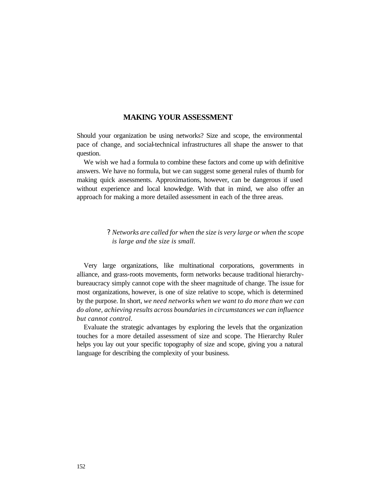#### **MAKING YOUR ASSESSMENT**

Should your organization be using networks? Size and scope, the environmental pace of change, and social-technical infrastructures all shape the answer to that question.

We wish we had a formula to combine these factors and come up with definitive answers. We have no formula, but we can suggest some general rules of thumb for making quick assessments. Approximations, however, can be dangerous if used without experience and local knowledge. With that in mind, we also offer an approach for making a more detailed assessment in each of the three areas.

> *? Networks are called for when the size is very large or when the scope is large and the size is small.*

Very large organizations, like multinational corporations, governments in alliance, and grass-roots movements, form networks because traditional hierarchybureaucracy simply cannot cope with the sheer magnitude of change. The issue for most organizations, however, is one of size relative to scope, which is determined by the purpose. In short, *we need networks when we want to do more than we can do alone, achieving results across boundaries in circumstances we can influence but cannot control.*

Evaluate the strategic advantages by exploring the levels that the organization touches for a more detailed assessment of size and scope. The Hierarchy Ruler helps you lay out your specific topography of size and scope, giving you a natural language for describing the complexity of your business.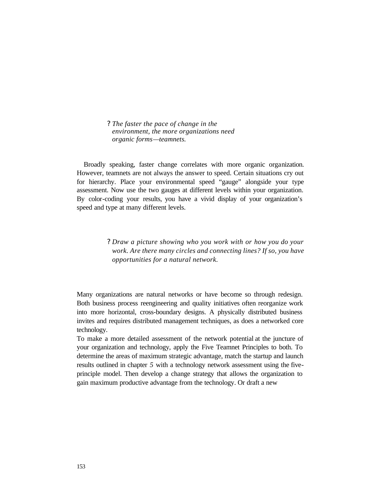*? The faster the pace of change in the environment, the more organizations need organic forms—teamnets.*

Broadly speaking, faster change correlates with more organic organization. However, teamnets are not always the answer to speed. Certain situations cry out for hierarchy. Place your environmental speed "gauge" alongside your type assessment. Now use the two gauges at different levels within your organization. By color-coding your results, you have a vivid display of your organization's speed and type at many different levels.

> *? Draw a picture showing who you work with or how you do your work. Are there many circles and connecting lines? If so, you have opportunities for a natural network.*

Many organizations are natural networks or have become so through redesign. Both business process reengineering and quality initiatives often reorganize work into more horizontal, cross-boundary designs. A physically distributed business invites and requires distributed management techniques, as does a networked core technology.

To make a more detailed assessment of the network potential at the juncture of your organization and technology, apply the Five Teamnet Principles to both. To determine the areas of maximum strategic advantage, match the startup and launch results outlined in chapter *5* with a technology network assessment using the fiveprinciple model. Then develop a change strategy that allows the organization to gain maximum productive advantage from the technology. Or draft a new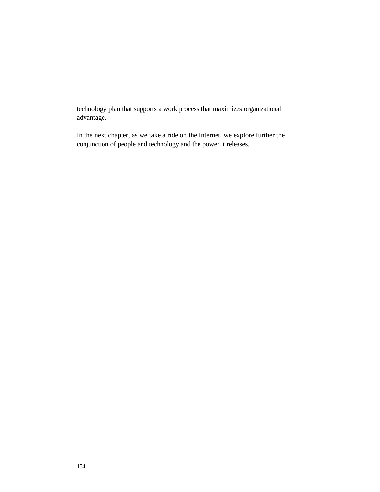technology plan that supports a work process that maximizes organizational advantage.

In the next chapter, as we take a ride on the Internet, we explore further the conjunction of people and technology and the power it releases.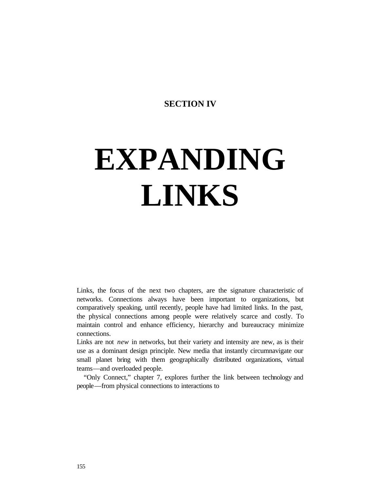# **SECTION IV**

# **EXPANDING LINKS**

Links, the focus of the next two chapters, are the signature characteristic of networks. Connections always have been important to organizations, but comparatively speaking, until recently, people have had limited links. In the past, the physical connections among people were relatively scarce and costly. To maintain control and enhance efficiency, hierarchy and bureaucracy minimize connections.

Links are not *new* in networks, but their variety and intensity are new, as is their use as a dominant design principle. New media that instantly circumnavigate our small planet bring with them geographically distributed organizations, virtual teams—and overloaded people.

"Only Connect," chapter 7, explores further the link between technology and people—from physical connections to interactions to